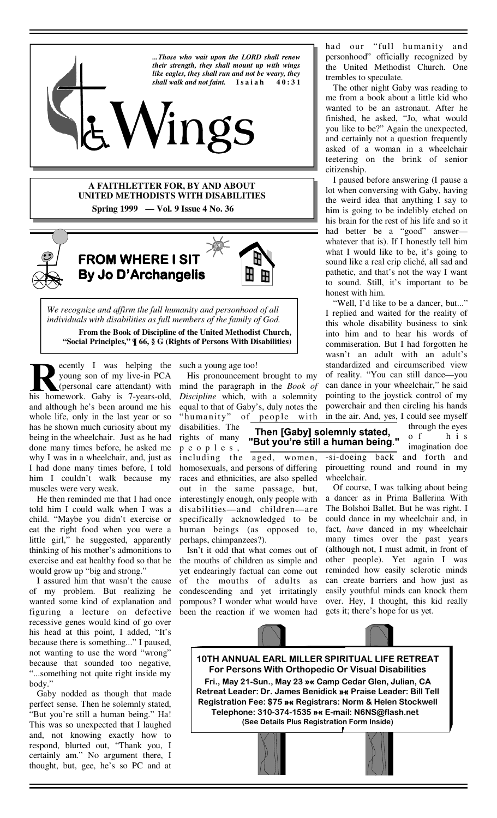

**A FAITHLETTER FOR, BY AND ABOUT UNITED METHODISTS WITH DISABILITIES Spring 1999 — Vol. 9 Issue 4 No. 36** 



 **FROM WHERE I SIT SIT SIT By Jo D'Archangelis** 



*We recognize and affirm the full humanity and personhood of all individuals with disabilities as full members of the family of God.*  **From the Book of Discipline of the United Methodist Church, "Social Principles," ¶ 66, § G (Rights of Persons With Disabilities)** 

ecently I was helping the young son of my live-in PCA (personal care attendant) with his homework. Gaby is 7-years-old, and although he's been around me his whole life, only in the last year or so has he shown much curiosity about my being in the wheelchair. Just as he had done many times before, he asked me why I was in a wheelchair, and, just as I had done many times before, I told him I couldn't walk because my muscles were very weak.

 He then reminded me that I had once told him I could walk when I was a child. "Maybe you didn't exercise or eat the right food when you were a little girl," he suggested, apparently thinking of his mother's admonitions to exercise and eat healthy food so that he would grow up "big and strong."

 I assured him that wasn't the cause of my problem. But realizing he wanted some kind of explanation and figuring a lecture on defective recessive genes would kind of go over his head at this point, I added, "It's because there is something..." I paused, not wanting to use the word "wrong" because that sounded too negative, "...something not quite right inside my body."

 Gaby nodded as though that made perfect sense. Then he solemnly stated, "But you're still a human being." Ha! This was so unexpected that I laughed and, not knowing exactly how to respond, blurted out, "Thank you, I certainly am." No argument there, I thought, but, gee, he's so PC and at

such a young age too!

disabilities. The

 His pronouncement brought to my mind the paragraph in the *Book of Discipline* which, with a solemnity equal to that of Gaby's, duly notes the "humanity" of people with

rights of many p e o p l e s , including the aged, women, homosexuals, and persons of differing races and ethnicities, are also spelled out in the same passage, but, interestingly enough, only people with disabilities—and children—are specifically acknowledged to be human beings (as opposed to, perhaps, chimpanzees?).

 Isn't it odd that what comes out of the mouths of children as simple and yet endearingly factual can come out of the mouths of adults as condescending and yet irritatingly pompous? I wonder what would have been the reaction if we women had

had our "full humanity and personhood" officially recognized by the United Methodist Church. One trembles to speculate.

 The other night Gaby was reading to me from a book about a little kid who wanted to be an astronaut. After he finished, he asked, "Jo, what would you like to be?" Again the unexpected, and certainly not a question frequently asked of a woman in a wheelchair teetering on the brink of senior citizenship.

 I paused before answering (I pause a lot when conversing with Gaby, having the weird idea that anything I say to him is going to be indelibly etched on his brain for the rest of his life and so it had better be a "good" answer whatever that is). If I honestly tell him what I would like to be, it's going to sound like a real crip cliché, all sad and pathetic, and that's not the way I want to sound. Still, it's important to be honest with him.

 "Well, I'd like to be a dancer, but..." I replied and waited for the reality of this whole disability business to sink into him and to hear his words of commiseration. But I had forgotten he wasn't an adult with an adult's standardized and circumscribed view of reality. "You can still dance—you can dance in your wheelchair," he said pointing to the joystick control of my powerchair and then circling his hands in the air. And, yes, I could see myself

Then [Gaby] solemnly stated, "But you're still a human being."

o f h i s imagination doe -si-doeing back and forth and pirouetting round and round in my wheelchair.

through the eyes

 Of course, I was talking about being a dancer as in Prima Ballerina With The Bolshoi Ballet. But he was right. I could dance in my wheelchair and, in fact, *have* danced in my wheelchair many times over the past years (although not, I must admit, in front of other people). Yet again I was reminded how easily sclerotic minds can create barriers and how just as easily youthful minds can knock them over. Hey, I thought, this kid really gets it; there's hope for us yet.

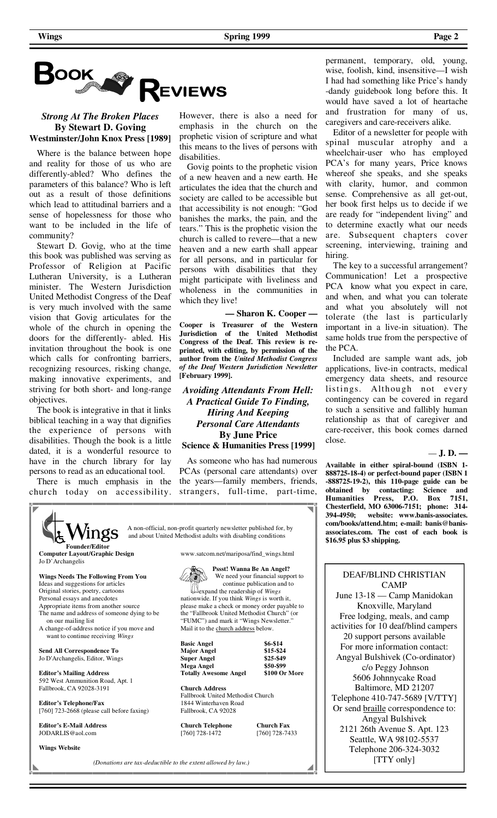

# *Strong At The Broken Places*  **By Stewart D. Goving Westminster/John Knox Press [1989]**

 Where is the balance between hope and reality for those of us who are differently-abled? Who defines the parameters of this balance? Who is left out as a result of those definitions which lead to attitudinal barriers and a sense of hopelessness for those who want to be included in the life of community?

 Stewart D. Govig, who at the time this book was published was serving as Professor of Religion at Pacific Lutheran University, is a Lutheran minister. The Western Jurisdiction United Methodist Congress of the Deaf is very much involved with the same vision that Govig articulates for the whole of the church in opening the doors for the differently- abled. His invitation throughout the book is one which calls for confronting barriers, recognizing resources, risking change, making innovative experiments, and striving for both short- and long-range objectives.

 The book is integrative in that it links biblical teaching in a way that dignifies the experience of persons with disabilities. Though the book is a little dated, it is a wonderful resource to have in the church library for lay persons to read as an educational tool.

 There is much emphasis in the church today on accessibility.

However, there is also a need for emphasis in the church on the prophetic vision of scripture and what this means to the lives of persons with disabilities.

 Govig points to the prophetic vision of a new heaven and a new earth. He articulates the idea that the church and society are called to be accessible but that accessibility is not enough: "God banishes the marks, the pain, and the tears." This is the prophetic vision the church is called to revere—that a new heaven and a new earth shall appear for all persons, and in particular for persons with disabilities that they might participate with liveliness and wholeness in the communities in which they live!

**— Sharon K. Cooper — Cooper is Treasurer of the Western Jurisdiction of the United Methodist Congress of the Deaf. This review is reprinted, with editing, by permission of the author from the** *United Methodist Congress of the Deaf Western Jurisdiction Newsletter* **[February 1999].**

# *Avoiding Attendants From Hell: A Practical Guide To Finding, Hiring And Keeping Personal Care Attendants* **By June Price Science & Humanities Press [1999]**

 As someone who has had numerous PCAs (personal care attendants) over the years—family members, friends, strangers, full-time, part-time,

 A non-official, non-profit quarterly newsletter published for, by Angs and about United Methodist adults with disabling conditions **Founder/Editor Computer Layout/Graphic Design**  www.satcom.net/mariposa/find\_wings.html Jo D'Archangelis  **Pssst! Wanna Be An Angel? Wings Needs The Following From You**  We need your financial support to continue publication and to Ideas and suggestions for articles expand the readership of *Wings* Original stories, poetry, cartoons Personal essays and anecdotes nationwide. If you think *Wings* is worth it, Appropriate items from another source please make a check or money order payable to The name and address of someone dying to be the "Fallbrook United Methodist Church" (or on our mailing list "FUMC") and mark it "Wings Newsletter." A change-of-address notice if you move and Mail it to the church address below. want to continue receiving *Wings* **Basic Angel 56-\$14**<br> **Major Angel 515-\$24 Send All Correspondence To Major Angel** Jo D'Archangelis, Editor, Wings **Super Angel \$25-\$49 Mega Angel \$50-\$99<br>
Totally Awesome Angel \$100 Or More Editor's Mailing Address Totally Awesome Angel** 592 West Ammunition Road, Apt. 1 Fallbrook, CA 92028-3191 **Church Address**  Fallbrook United Methodist Church **Editor's Telephone/Fax**  1844 Winterhaven Road [760] 723-2668 (please call before faxing) Fallbrook, CA 92028 **Editor's E-Mail Address Church Telephone Church Fax**<br>[760] 728-1472 [760] 728-74 JODARLIS@aol.com [760] 728-1472 [760] 728-7433 **Wings Website**

permanent, temporary, old, young, wise, foolish, kind, insensitive—I wish I had had something like Price's handy -dandy guidebook long before this. It would have saved a lot of heartache and frustration for many of us, caregivers and care-receivers alike.

 Editor of a newsletter for people with spinal muscular atrophy and a wheelchair-user who has employed PCA's for many years, Price knows whereof she speaks, and she speaks with clarity, humor, and common sense. Comprehensive as all get-out, her book first helps us to decide if we are ready for "independent living" and to determine exactly what our needs are. Subsequent chapters cover screening, interviewing, training and hiring.

 The key to a successful arrangement? Communication! Let a prospective PCA know what you expect in care, and when, and what you can tolerate and what you absolutely will not tolerate (the last is particularly important in a live-in situation). The same holds true from the perspective of the PCA.

 Included are sample want ads, job applications, live-in contracts, medical emergency data sheets, and resource listings. Although not every contingency can be covered in regard to such a sensitive and fallibly human relationship as that of caregiver and care-receiver, this book comes darned close.

— **J. D. —**

**Available in either spiral-bound (ISBN 1- 888725-18-4) or perfect-bound paper (ISBN 1 -888725-19-2), this 110-page guide can be obtained by contacting: Science and Humanities Press, P.O. Box 7151, Chesterfield, MO 63006-7151; phone: 314- 394-4950; website: www.banis-associates. com/books/attend.htm; e-mail: banis@banisassociates.com. The cost of each book is \$16.95 plus \$3 shipping.**

#### DEAF/BLIND CHRISTIAN CAMP

June 13-18 — Camp Manidokan Knoxville, Maryland Free lodging, meals, and camp activities for 10 deaf/blind campers 20 support persons available For more information contact: Angyal Bulshivek (Co-ordinator) c/o Peggy Johnson 5606 Johnnycake Road Baltimore, MD 21207 Telephone 410-747-5689 [V/TTY] Or send braille correspondence to: Angyal Bulshivek 2121 26th Avenue S. Apt. 123 Seattle, WA 98102-5537 Telephone 206-324-3032 [TTY only]

*(Donations are tax-deductible to the extent allowed by law.)*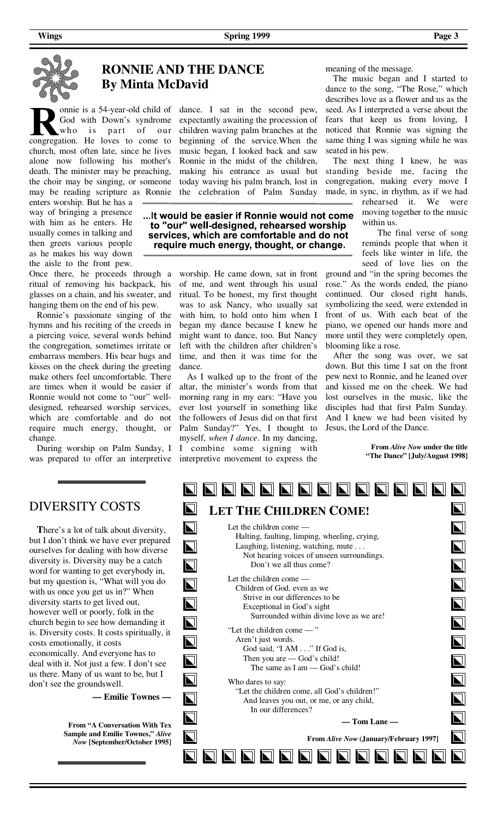

# **RONNIE AND THE DANCE By Minta McDavid**

God with Down's syndrome who is part of our congregation. He loves to come to church, most often late, since he lives alone now following his mother's death. The minister may be preaching, the choir may be singing, or someone may be reading scripture as Ronnie

enters worship. But he has a way of bringing a presence with him as he enters. He usually comes in talking and then greets various people as he makes his way down the aisle to the front pew.

Once there, he proceeds through a ritual of removing his backpack, his glasses on a chain, and his sweater, and hanging them on the end of his pew.

 Ronnie's passionate singing of the hymns and his reciting of the creeds in a piercing voice, several words behind the congregation, sometimes irritate or embarrass members. His bear hugs and kisses on the cheek during the greeting make others feel uncomfortable. There are times when it would be easier if Ronnie would not come to "our" welldesigned, rehearsed worship services, which are comfortable and do not require much energy, thought, or change.

was prepared to offer an interpretive interpretive movement to express the During worship on Palm Sunday, I

### onnie is a 54-year-old child of dance. I sat in the second pew, expectantly awaiting the procession of children waving palm branches at the beginning of the service.When the music began, I looked back and saw Ronnie in the midst of the children, making his entrance as usual but today waving his palm branch, lost in the celebration of Palm Sunday

... It would be easier if Ronnie would not come to "our" well-designed, rehearsed worship services, which are comfortable and do not require much energy, thought, or change.

> worship. He came down, sat in front of me, and went through his usual ritual. To be honest, my first thought was to ask Nancy, who usually sat with him, to hold onto him when I began my dance because I knew he might want to dance, too. But Nancy left with the children after children's time, and then it was time for the dance.

> As I walked up to the front of the altar, the minister's words from that morning rang in my ears: "Have you ever lost yourself in something like the followers of Jesus did on that first Palm Sunday?" Yes, I thought to myself, *when I dance*. In my dancing, I combine some signing with

meaning of the message.

 The music began and I started to dance to the song, "The Rose," which describes love as a flower and us as the seed. As I interpreted a verse about the fears that keep us from loving, I noticed that Ronnie was signing the same thing I was signing while he was seated in his pew.

 The next thing I knew, he was standing beside me, facing the congregation, making every move I made, in sync, in rhythm, as if we had

rehearsed it. We were moving together to the music within us.

 The final verse of song reminds people that when it feels like winter in life, the seed of love lies on the

ground and "in the spring becomes the rose." As the words ended, the piano continued. Our closed right hands, symbolizing the seed, were extended in front of us. With each beat of the piano, we opened our hands more and more until they were completely open, blooming like a rose.

 After the song was over, we sat down. But this time I sat on the front pew next to Ronnie, and he leaned over and kissed me on the cheek. We had lost ourselves in the music, like the disciples had that first Palm Sunday. And I knew we had been visited by Jesus, the Lord of the Dance.

> **From** *Alive Now* **under the title "The Dance" [July/August 1998]**

**T**here's a lot of talk about diversity, but I don't think we have ever prepared ourselves for dealing with how diverse diversity is. Diversity may be a catch word for wanting to get everybody in, but my question is, "What will you do with us once you get us in?" When diversity starts to get lived out, however well or poorly, folk in the church begin to see how demanding it is. Diversity costs. It costs spiritually, it costs emotionally, it costs economically. And everyone has to deal with it. Not just a few. I don't see us there. Many of us want to be, but I don't see the groundswell.

**— Emilie Townes —** 

**From "A Conversation With Tex Sample and Emilie Townes,"** *Alive Now* **[September/October 1995]**